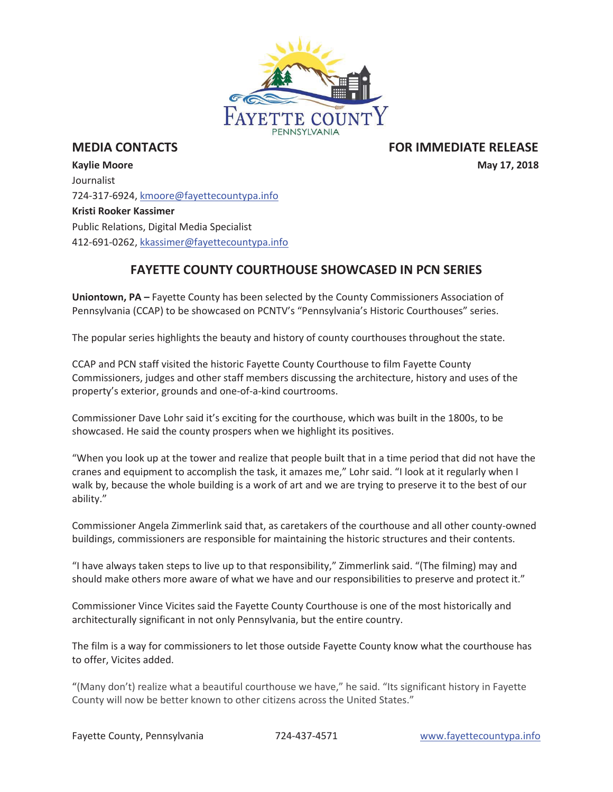

**MEDIA CONTACTS** THE RESERVE THE RESERVE THAT THE RESERVE THE RELEASE RELEASE IN THE RELEASE RELEASE

**Kaylie Moore May 17, 2018** Journalist 724-317-6924, kmoore@fayettecountypa.info **Kristi Rooker Kassimer**  Public Relations, Digital Media Specialist 412-691-0262, kkassimer@fayettecountypa.info

## **FAYETTE COUNTY COURTHOUSE SHOWCASED IN PCN SERIES**

**Uniontown, PA –** Fayette County has been selected by the County Commissioners Association of Pennsylvania (CCAP) to be showcased on PCNTV's "Pennsylvania's Historic Courthouses" series.

The popular series highlights the beauty and history of county courthouses throughout the state.

CCAP and PCN staff visited the historic Fayette County Courthouse to film Fayette County Commissioners, judges and other staff members discussing the architecture, history and uses of the property's exterior, grounds and one-of-a-kind courtrooms.

Commissioner Dave Lohr said it's exciting for the courthouse, which was built in the 1800s, to be showcased. He said the county prospers when we highlight its positives.

"When you look up at the tower and realize that people built that in a time period that did not have the cranes and equipment to accomplish the task, it amazes me," Lohr said. "I look at it regularly when I walk by, because the whole building is a work of art and we are trying to preserve it to the best of our ability."

Commissioner Angela Zimmerlink said that, as caretakers of the courthouse and all other county-owned buildings, commissioners are responsible for maintaining the historic structures and their contents.

"I have always taken steps to live up to that responsibility," Zimmerlink said. "(The filming) may and should make others more aware of what we have and our responsibilities to preserve and protect it."

Commissioner Vince Vicites said the Fayette County Courthouse is one of the most historically and architecturally significant in not only Pennsylvania, but the entire country.

The film is a way for commissioners to let those outside Fayette County know what the courthouse has to offer, Vicites added.

"(Many don't) realize what a beautiful courthouse we have," he said. "Its significant history in Fayette County will now be better known to other citizens across the United States."